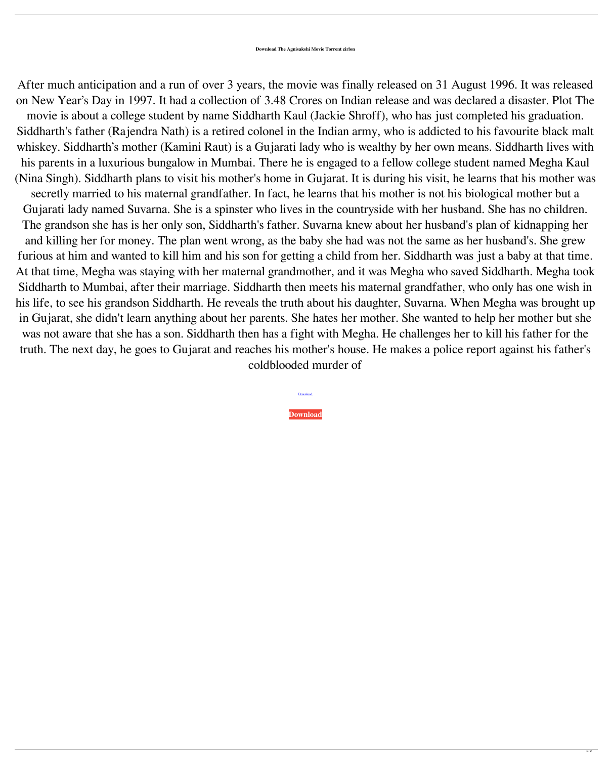After much anticipation and a run of over 3 years, the movie was finally released on 31 August 1996. It was released on New Year's Day in 1997. It had a collection of 3.48 Crores on Indian release and was declared a disaster. Plot The movie is about a college student by name Siddharth Kaul (Jackie Shroff), who has just completed his graduation. Siddharth's father (Rajendra Nath) is a retired colonel in the Indian army, who is addicted to his favourite black malt whiskey. Siddharth's mother (Kamini Raut) is a Gujarati lady who is wealthy by her own means. Siddharth lives with his parents in a luxurious bungalow in Mumbai. There he is engaged to a fellow college student named Megha Kaul (Nina Singh). Siddharth plans to visit his mother's home in Gujarat. It is during his visit, he learns that his mother was secretly married to his maternal grandfather. In fact, he learns that his mother is not his biological mother but a Gujarati lady named Suvarna. She is a spinster who lives in the countryside with her husband. She has no children. The grandson she has is her only son, Siddharth's father. Suvarna knew about her husband's plan of kidnapping her and killing her for money. The plan went wrong, as the baby she had was not the same as her husband's. She grew furious at him and wanted to kill him and his son for getting a child from her. Siddharth was just a baby at that time. At that time, Megha was staying with her maternal grandmother, and it was Megha who saved Siddharth. Megha took Siddharth to Mumbai, after their marriage. Siddharth then meets his maternal grandfather, who only has one wish in his life, to see his grandson Siddharth. He reveals the truth about his daughter, Suvarna. When Megha was brought up in Gujarat, she didn't learn anything about her parents. She hates her mother. She wanted to help her mother but she was not aware that she has a son. Siddharth then has a fight with Megha. He challenges her to kill his father for the truth. The next day, he goes to Gujarat and reaches his mother's house. He makes a police report against his father's coldblooded murder of